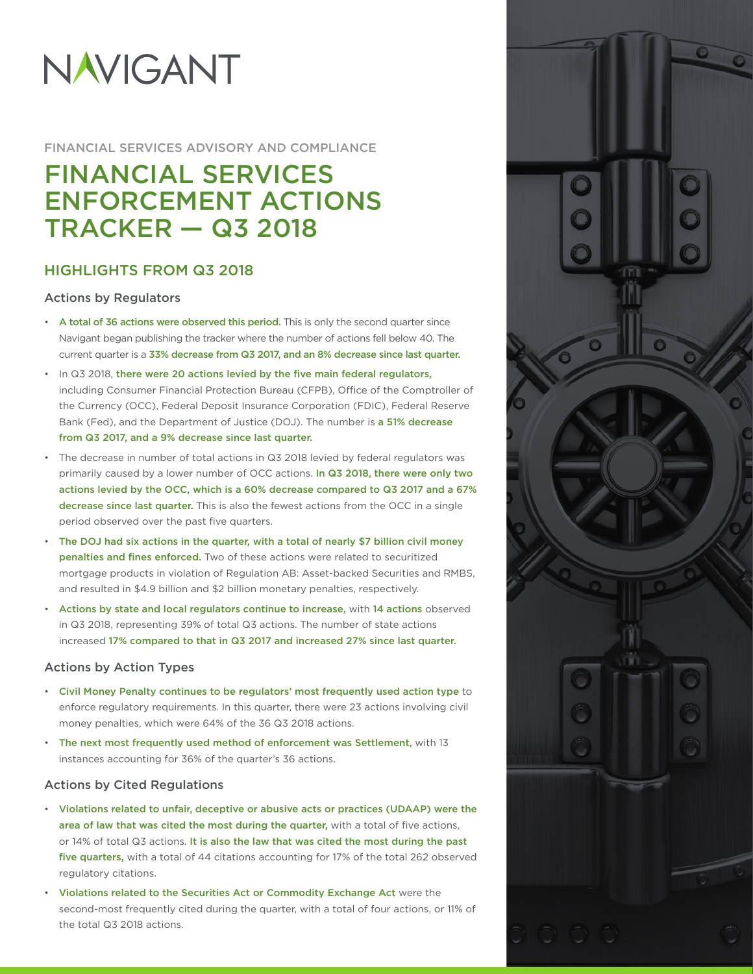# NAVIGANT

#### FINANCIAL SERVICES ADVISORY AND COMPLIANCE

## FINANCIAL SERVICES ENFORCEMENT ACTIONS TRACKER — Q3 2018

### HIGHLIGHTS FROM Q3 2018

#### Actions by Regulators

- A total of 36 actions were observed this period. This is only the second quarter since Navigant began publishing the tracker where the number of actions fell below 40. The current quarter is a 33% decrease from Q3 2017, and an 8% decrease since last quarter.
- In Q3 2018, there were 20 actions levied by the five main federal regulators, including Consumer Financial Protection Bureau (CFPB), Office of the Comptroller of the Currency (OCC), Federal Deposit Insurance Corporation (FDIC), Federal Reserve Bank (Fed), and the Department of Justice (DOJ). The number is a 51% decrease from Q3 2017, and a 9% decrease since last quarter.
- The decrease in number of total actions in Q3 2018 levied by federal regulators was primarily caused by a lower number of OCC actions. In Q3 2018, there were only two actions levied by the OCC, which is a 60% decrease compared to Q3 2017 and a 67% decrease since last quarter. This is also the fewest actions from the OCC in a single period observed over the past five quarters.
- The DOJ had six actions in the quarter, with a total of nearly \$7 billion civil money penalties and fines enforced. Two of these actions were related to securitized mortgage products in violation of Regulation AB: Asset-backed Securities and RMBS, and resulted in \$4.9 billion and \$2 billion monetary penalties, respectively.
- Actions by state and local regulators continue to increase, with 14 actions observed in Q3 2018, representing 39% of total Q3 actions. The number of state actions increased 17% compared to that in Q3 2017 and increased 27% since last quarter.

#### Actions by Action Types

- Civil Money Penalty continues to be regulators' most frequently used action type to enforce regulatory requirements. In this quarter, there were 23 actions involving civil money penalties, which were 64% of the 36 Q3 2018 actions.
- The next most frequently used method of enforcement was Settlement, with 13 instances accounting for 36% of the quarter's 36 actions.

#### Actions by Cited Regulations

- Violations related to unfair, deceptive or abusive acts or practices (UDAAP) were the area of law that was cited the most during the quarter, with a total of five actions, or 14% of total Q3 actions. It is also the law that was cited the most during the past five quarters, with a total of 44 citations accounting for 17% of the total 262 observed regulatory citations.
- Violations related to the Securities Act or Commodity Exchange Act were the second-most frequently cited during the quarter, with a total of four actions, or 11% of the total Q3 2018 actions.

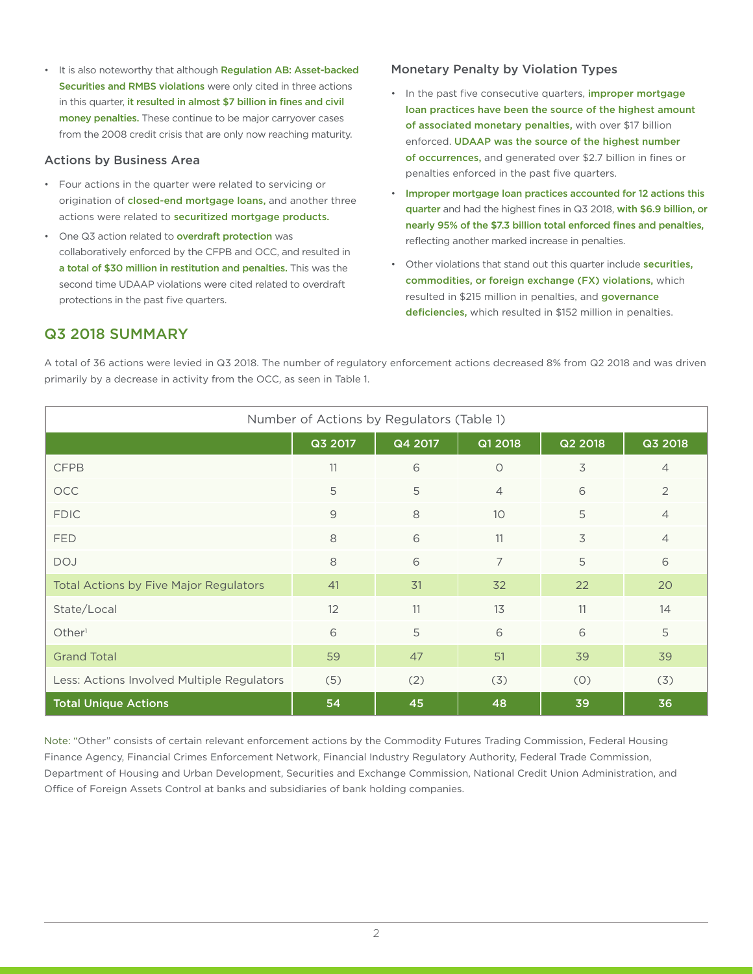• It is also noteworthy that although Regulation AB: Asset-backed Securities and RMBS violations were only cited in three actions in this quarter, it resulted in almost \$7 billion in fines and civil money penalties. These continue to be major carryover cases from the 2008 credit crisis that are only now reaching maturity.

#### Actions by Business Area

- Four actions in the quarter were related to servicing or origination of closed-end mortgage loans, and another three actions were related to securitized mortgage products.
- One Q3 action related to overdraft protection was collaboratively enforced by the CFPB and OCC, and resulted in a total of \$30 million in restitution and penalties. This was the second time UDAAP violations were cited related to overdraft protections in the past five quarters.

#### Monetary Penalty by Violation Types

- In the past five consecutive quarters, **improper mortgage** loan practices have been the source of the highest amount of associated monetary penalties, with over \$17 billion enforced. UDAAP was the source of the highest number of occurrences, and generated over \$2.7 billion in fines or penalties enforced in the past five quarters.
- Improper mortgage loan practices accounted for 12 actions this quarter and had the highest fines in Q3 2018, with \$6.9 billion, or nearly 95% of the \$7.3 billion total enforced fines and penalties, reflecting another marked increase in penalties.
- Other violations that stand out this quarter include securities, commodities, or foreign exchange (FX) violations, which resulted in \$215 million in penalties, and governance deficiencies, which resulted in \$152 million in penalties.

#### Q3 2018 SUMMARY

A total of 36 actions were levied in Q3 2018. The number of regulatory enforcement actions decreased 8% from Q2 2018 and was driven primarily by a decrease in activity from the OCC, as seen in Table 1.

| Number of Actions by Regulators (Table 1)     |                |         |                |         |                |  |  |  |  |  |
|-----------------------------------------------|----------------|---------|----------------|---------|----------------|--|--|--|--|--|
|                                               | Q3 2017        | Q4 2017 | Q1 2018        | Q2 2018 | Q3 2018        |  |  |  |  |  |
| <b>CFPB</b>                                   | 11             | 6       | $\circ$        | 3       | $\overline{4}$ |  |  |  |  |  |
| <b>OCC</b>                                    | 5              | 5       | $\overline{4}$ | 6       | 2              |  |  |  |  |  |
| <b>FDIC</b>                                   | $\overline{9}$ | 8       | 10             | 5       | $\overline{4}$ |  |  |  |  |  |
| FED                                           | 8              | 6       | 11             | 3       | $\overline{4}$ |  |  |  |  |  |
| <b>DOJ</b>                                    | 8              | 6       | $\overline{7}$ | 5       | 6              |  |  |  |  |  |
| <b>Total Actions by Five Major Regulators</b> | 41             | 31      | 32             | 22      | 20             |  |  |  |  |  |
| State/Local                                   | 12             | 11      | 13             | 11      | 14             |  |  |  |  |  |
| Other <sup>1</sup>                            | 6              | 5       | 6              | 6       | 5              |  |  |  |  |  |
| <b>Grand Total</b>                            | 59             | 47      | 51             | 39      | 39             |  |  |  |  |  |
| Less: Actions Involved Multiple Regulators    | (5)            | (2)     | (3)            | (0)     | (3)            |  |  |  |  |  |
| <b>Total Unique Actions</b>                   | 54             | 45      | 48             | 39      | 36             |  |  |  |  |  |

Note: "Other" consists of certain relevant enforcement actions by the Commodity Futures Trading Commission, Federal Housing Finance Agency, Financial Crimes Enforcement Network, Financial Industry Regulatory Authority, Federal Trade Commission, Department of Housing and Urban Development, Securities and Exchange Commission, National Credit Union Administration, and Office of Foreign Assets Control at banks and subsidiaries of bank holding companies.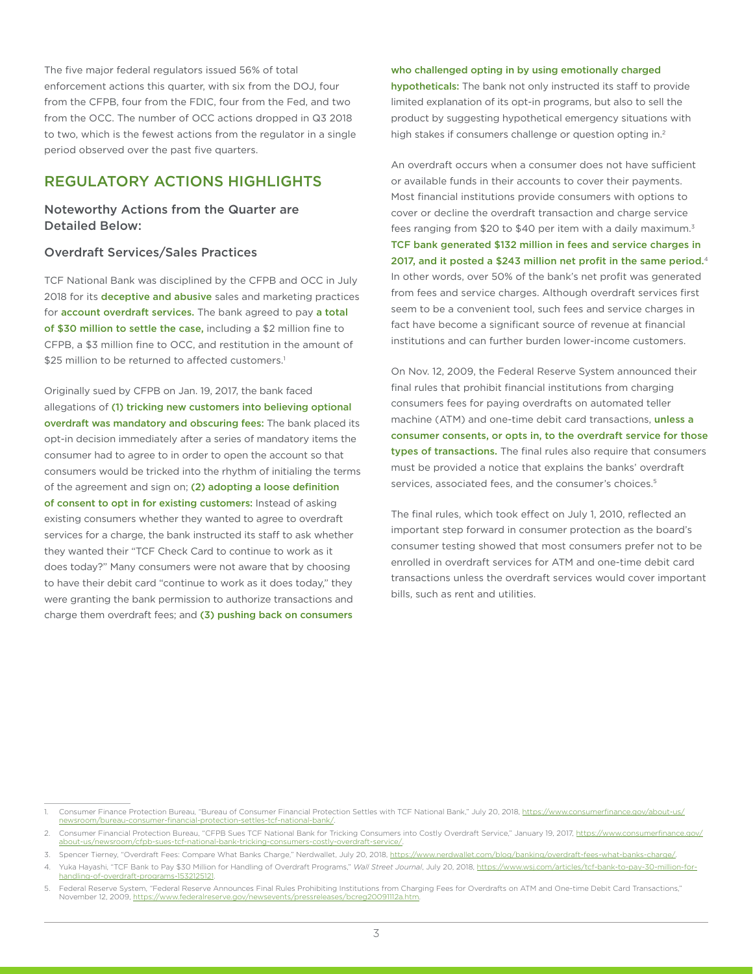The five major federal regulators issued 56% of total enforcement actions this quarter, with six from the DOJ, four from the CFPB, four from the FDIC, four from the Fed, and two from the OCC. The number of OCC actions dropped in Q3 2018 to two, which is the fewest actions from the regulator in a single period observed over the past five quarters.

#### REGULATORY ACTIONS HIGHLIGHTS

#### Noteworthy Actions from the Quarter are Detailed Below:

#### Overdraft Services/Sales Practices

TCF National Bank was disciplined by the CFPB and OCC in July 2018 for its deceptive and abusive sales and marketing practices for account overdraft services. The bank agreed to pay a total of \$30 million to settle the case, including a \$2 million fine to CFPB, a \$3 million fine to OCC, and restitution in the amount of \$25 million to be returned to affected customers.<sup>1</sup>

Originally sued by CFPB on Jan. 19, 2017, the bank faced allegations of (1) tricking new customers into believing optional overdraft was mandatory and obscuring fees: The bank placed its opt-in decision immediately after a series of mandatory items the consumer had to agree to in order to open the account so that consumers would be tricked into the rhythm of initialing the terms of the agreement and sign on; (2) adopting a loose definition of consent to opt in for existing customers: Instead of asking existing consumers whether they wanted to agree to overdraft services for a charge, the bank instructed its staff to ask whether they wanted their "TCF Check Card to continue to work as it does today?" Many consumers were not aware that by choosing to have their debit card "continue to work as it does today," they were granting the bank permission to authorize transactions and charge them overdraft fees; and (3) pushing back on consumers

#### who challenged opting in by using emotionally charged

hypotheticals: The bank not only instructed its staff to provide limited explanation of its opt-in programs, but also to sell the product by suggesting hypothetical emergency situations with high stakes if consumers challenge or question opting in.<sup>2</sup>

An overdraft occurs when a consumer does not have sufficient or available funds in their accounts to cover their payments. Most financial institutions provide consumers with options to cover or decline the overdraft transaction and charge service fees ranging from \$20 to \$40 per item with a daily maximum. $3$ TCF bank generated \$132 million in fees and service charges in 2017, and it posted a \$243 million net profit in the same period.<sup>4</sup> In other words, over 50% of the bank's net profit was generated from fees and service charges. Although overdraft services first seem to be a convenient tool, such fees and service charges in fact have become a significant source of revenue at financial institutions and can further burden lower-income customers.

On Nov. 12, 2009, the Federal Reserve System announced their final rules that prohibit financial institutions from charging consumers fees for paying overdrafts on automated teller machine (ATM) and one-time debit card transactions, unless a consumer consents, or opts in, to the overdraft service for those types of transactions. The final rules also require that consumers must be provided a notice that explains the banks' overdraft services, associated fees, and the consumer's choices.<sup>5</sup>

The final rules, which took effect on July 1, 2010, reflected an important step forward in consumer protection as the board's consumer testing showed that most consumers prefer not to be enrolled in overdraft services for ATM and one-time debit card transactions unless the overdraft services would cover important bills, such as rent and utilities.

Consumer Finance Protection Bureau, "Bureau of Consumer Financial Protection Settles with TCF National Bank," July 20, 2018, [https://www.consumerfinance.gov/about-us/](https://www.consumerfinance.gov/about-us/newsroom/bureau-consumer-financial-protection-settles-tcf-national-bank/) [newsroom/bureau-consumer-financial-protection-settles-tcf-national-bank/.](https://www.consumerfinance.gov/about-us/newsroom/bureau-consumer-financial-protection-settles-tcf-national-bank/)

<sup>2.</sup> Consumer Financial Protection Bureau, "CFPB Sues TCF National Bank for Tricking Consumers into Costly Overdraft Service," January 19, 2017, [https://www.consumerfinance.gov/](https://www.consumerfinance.gov/about-us/newsroom/cfpb-sues-tcf-national-bank-tricking-consumers-costly-overdraft-service/) about-us/newsroom/cfpb-sues-tcf-national-bank-trickin

<sup>3.</sup> Spencer Tierney, "Overdraft Fees: Compare What Banks Charge," Nerdwallet, July 20, 2018,<https://www.nerdwallet.com/blog/banking/overdraft-fees-what-banks-charge/>.

<sup>4.</sup> Yuka Hayashi, "TCF Bank to Pay \$30 Million for Handling of Overdraft Programs," *Wall Street Journal*, July 20, 2018, [https://www.wsj.com/articles/tcf-bank-to-pay-30-million-for](https://www.wsj.com/articles/tcf-bank-to-pay-30-million-for-handling-of-overdraft-programs-1532125121)[handling-of-overdraft-programs-1532125121.](https://www.wsj.com/articles/tcf-bank-to-pay-30-million-for-handling-of-overdraft-programs-1532125121)

Federal Reserve System, "Federal Reserve Announces Final Rules Prohibiting Institutions from Charging Fees for Overdrafts on ATM and One-time Debit Card Transactions," November 12, 2009, [https://www.federalreserve.gov/newsevents/pressreleases/bcreg20091112a.htm.](https://www.federalreserve.gov/newsevents/pressreleases/bcreg20091112a.htm)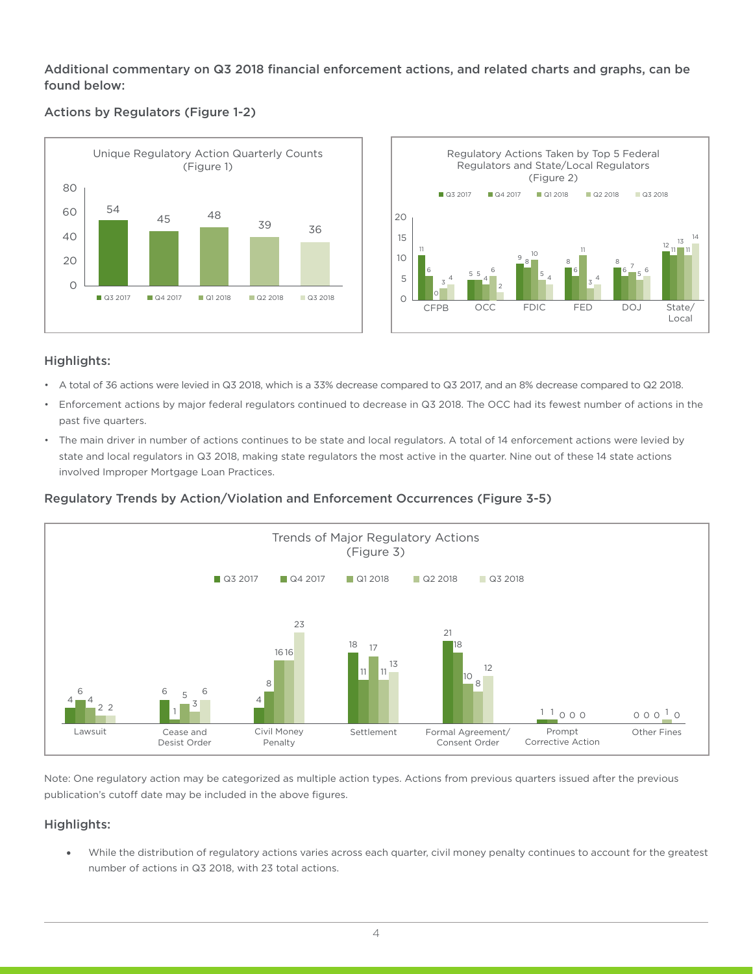Additional commentary on Q3 2018 financial enforcement actions, and related charts and graphs, can be found below:

#### Actions by Regulators (Figure 1-2)





#### Highlights:

- A total of 36 actions were levied in Q3 2018, which is a 33% decrease compared to Q3 2017, and an 8% decrease compared to Q2 2018.
- Enforcement actions by major federal regulators continued to decrease in Q3 2018. The OCC had its fewest number of actions in the past five quarters.
- The main driver in number of actions continues to be state and local regulators. A total of 14 enforcement actions were levied by state and local regulators in Q3 2018, making state regulators the most active in the quarter. Nine out of these 14 state actions involved Improper Mortgage Loan Practices.

#### Regulatory Trends by Action/Violation and Enforcement Occurrences (Figure 3-5)



Note: One regulatory action may be categorized as multiple action types. Actions from previous quarters issued after the previous publication's cutoff date may be included in the above figures.

#### Highlights:

• While the distribution of regulatory actions varies across each quarter, civil money penalty continues to account for the greatest number of actions in Q3 2018, with 23 total actions.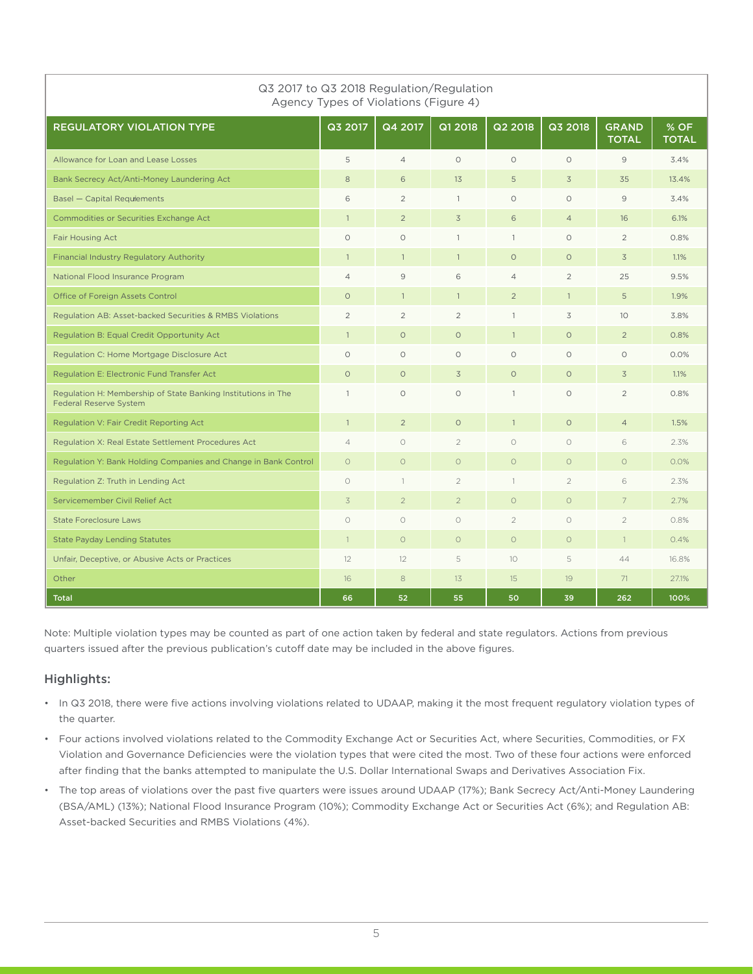| Q3 2017 to Q3 2018 Regulation/Regulation<br>Agency Types of Violations (Figure 4)              |                |                |                |                |                |                              |                      |  |  |  |  |
|------------------------------------------------------------------------------------------------|----------------|----------------|----------------|----------------|----------------|------------------------------|----------------------|--|--|--|--|
| <b>REGULATORY VIOLATION TYPE</b>                                                               | Q3 2017        | Q4 2017        | Q1 2018        | Q2 2018        | Q3 2018        | <b>GRAND</b><br><b>TOTAL</b> | % OF<br><b>TOTAL</b> |  |  |  |  |
| Allowance for Loan and Lease Losses                                                            | 5              | $\overline{4}$ | $\Omega$       | $\Omega$       | $\circ$        | 9                            | 3.4%                 |  |  |  |  |
| Bank Secrecy Act/Anti-Money Laundering Act                                                     | 8              | 6              | 13             | 5              | $\overline{3}$ | 35                           | 13.4%                |  |  |  |  |
| Basel - Capital Requiements                                                                    | 6              | $\overline{2}$ | $\mathbf{1}$   | $\circ$        | $\circ$        | 9                            | 3.4%                 |  |  |  |  |
| Commodities or Securities Exchange Act                                                         | $\mathbf{1}$   | $\overline{2}$ | $\overline{3}$ | 6              | $\overline{4}$ | 16                           | 6.1%                 |  |  |  |  |
| <b>Fair Housing Act</b>                                                                        | $\circ$        | $\circ$        | $\mathbf{1}$   | $\mathbf{1}$   | $\circ$        | $\overline{2}$               | 0.8%                 |  |  |  |  |
| <b>Financial Industry Regulatory Authority</b>                                                 | $\mathbf{1}$   | $\mathbf{1}$   | $\mathbf{1}$   | $\Omega$       | $\Omega$       | 3                            | 1.1%                 |  |  |  |  |
| National Flood Insurance Program                                                               | $\overline{4}$ | 9              | 6              | $\overline{4}$ | $\overline{2}$ | 25                           | 9.5%                 |  |  |  |  |
| Office of Foreign Assets Control                                                               | $\circ$        | $\mathbf{1}$   | $\mathbf{1}$   | $\overline{2}$ | $\mathbf{1}$   | 5                            | 1.9%                 |  |  |  |  |
| Regulation AB: Asset-backed Securities & RMBS Violations                                       | $\overline{2}$ | $\overline{2}$ | $\overline{2}$ | $\mathbf{1}$   | 3              | 10 <sup>1</sup>              | 3.8%                 |  |  |  |  |
| Regulation B: Equal Credit Opportunity Act                                                     | $\mathbf{1}$   | $\circ$        | $\circ$        | $\mathbf{1}$   | $\circ$        | $\overline{2}$               | 0.8%                 |  |  |  |  |
| Regulation C: Home Mortgage Disclosure Act                                                     | $\circ$        | $\circ$        | $\circ$        | $\circ$        | $\circ$        | $\circ$                      | 0.0%                 |  |  |  |  |
| Regulation E: Electronic Fund Transfer Act                                                     | $\circ$        | $\circ$        | 3              | $\circ$        | $\circ$        | $\overline{3}$               | 1.1%                 |  |  |  |  |
| Regulation H: Membership of State Banking Institutions in The<br><b>Federal Reserve System</b> | $\mathbf{1}$   | $\circ$        | $\circ$        | $\mathbf{1}$   | $\circ$        | $\overline{2}$               | 0.8%                 |  |  |  |  |
| Regulation V: Fair Credit Reporting Act                                                        | $\mathbf{1}$   | $\overline{2}$ | $\circ$        | $\mathbf{1}$   | $\circ$        | $\overline{4}$               | 1.5%                 |  |  |  |  |
| Regulation X: Real Estate Settlement Procedures Act                                            | $\overline{4}$ | $\circ$        | $\overline{2}$ | $\circ$        | $\circ$        | 6                            | 2.3%                 |  |  |  |  |
| Regulation Y: Bank Holding Companies and Change in Bank Control                                | $\circ$        | $\circ$        | $\circ$        | $\circ$        | $\circ$        | $\circ$                      | 0.0%                 |  |  |  |  |
| Regulation Z: Truth in Lending Act                                                             | $\circ$        | $\mathbf{1}$   | $\overline{2}$ | $\mathbf{1}$   | $\overline{2}$ | 6                            | 2.3%                 |  |  |  |  |
| Servicemember Civil Relief Act                                                                 | 3              | $\overline{2}$ | $\overline{2}$ | $\circ$        | $\circ$        | $\overline{7}$               | 2.7%                 |  |  |  |  |
| <b>State Foreclosure Laws</b>                                                                  | $\bigcirc$     | $\bigcirc$     | $\bigcirc$     | $\overline{2}$ | $\circ$        | $\overline{2}$               | 0.8%                 |  |  |  |  |
| <b>State Payday Lending Statutes</b>                                                           | $\mathbf{1}$   | $\circ$        | $\circ$        | $\circ$        | $\circ$        | $\mathbf{1}$                 | 0.4%                 |  |  |  |  |
| Unfair, Deceptive, or Abusive Acts or Practices                                                | 12             | 12             | 5              | 10             | 5              | 44                           | 16.8%                |  |  |  |  |
| Other                                                                                          | 16             | 8              | 13             | 15             | 19             | 71                           | 27.1%                |  |  |  |  |
| <b>Total</b>                                                                                   | 66             | 52             | 55             | 50             | 39             | 262                          | 100%                 |  |  |  |  |

Note: Multiple violation types may be counted as part of one action taken by federal and state regulators. Actions from previous quarters issued after the previous publication's cutoff date may be included in the above figures.

#### Highlights:

- In Q3 2018, there were five actions involving violations related to UDAAP, making it the most frequent regulatory violation types of the quarter.
- Four actions involved violations related to the Commodity Exchange Act or Securities Act, where Securities, Commodities, or FX Violation and Governance Deficiencies were the violation types that were cited the most. Two of these four actions were enforced after finding that the banks attempted to manipulate the U.S. Dollar International Swaps and Derivatives Association Fix.
- The top areas of violations over the past five quarters were issues around UDAAP (17%); Bank Secrecy Act/Anti-Money Laundering (BSA/AML) (13%); National Flood Insurance Program (10%); Commodity Exchange Act or Securities Act (6%); and Regulation AB: Asset-backed Securities and RMBS Violations (4%).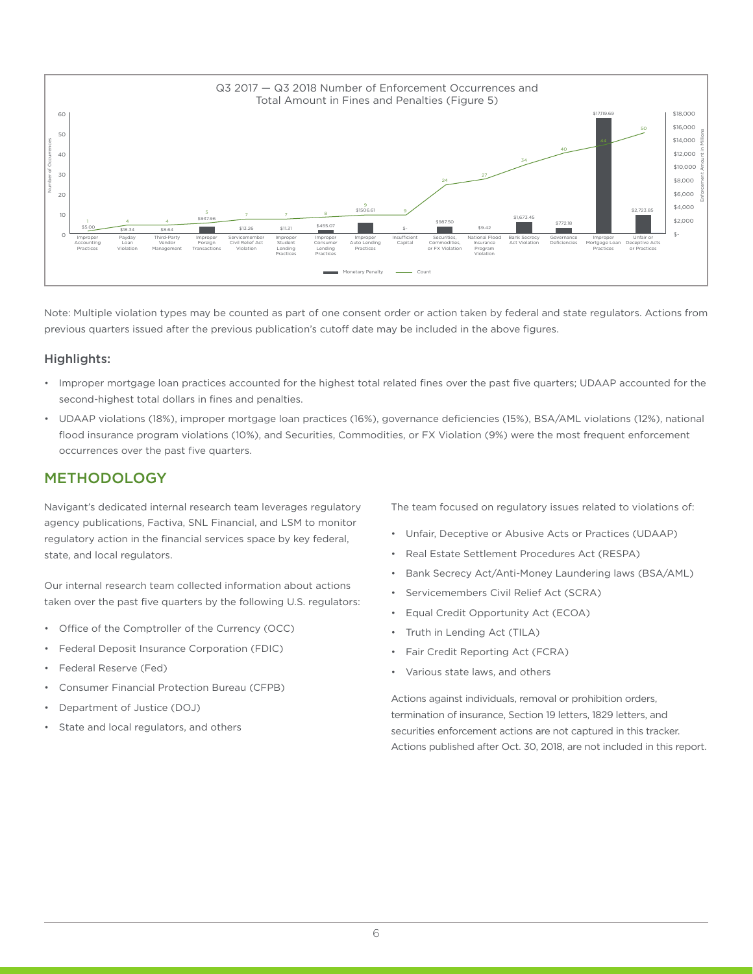

Note: Multiple violation types may be counted as part of one consent order or action taken by federal and state regulators. Actions from previous quarters issued after the previous publication's cutoff date may be included in the above figures.

#### Highlights:

- Improper mortgage loan practices accounted for the highest total related fines over the past five quarters; UDAAP accounted for the second-highest total dollars in fines and penalties.
- UDAAP violations (18%), improper mortgage loan practices (16%), governance deficiencies (15%), BSA/AML violations (12%), national flood insurance program violations (10%), and Securities, Commodities, or FX Violation (9%) were the most frequent enforcement occurrences over the past five quarters.

#### METHODOLOGY

Navigant's dedicated internal research team leverages regulatory agency publications, Factiva, SNL Financial, and LSM to monitor regulatory action in the financial services space by key federal, state, and local regulators.

Our internal research team collected information about actions taken over the past five quarters by the following U.S. regulators:

- Office of the Comptroller of the Currency (OCC)
- Federal Deposit Insurance Corporation (FDIC)
- Federal Reserve (Fed)
- Consumer Financial Protection Bureau (CFPB)
- Department of Justice (DOJ)
- State and local regulators, and others

The team focused on regulatory issues related to violations of:

- Unfair, Deceptive or Abusive Acts or Practices (UDAAP)
- Real Estate Settlement Procedures Act (RESPA)
- Bank Secrecy Act/Anti-Money Laundering laws (BSA/AML)
- Servicemembers Civil Relief Act (SCRA)
- Equal Credit Opportunity Act (ECOA)
- Truth in Lending Act (TILA)
- Fair Credit Reporting Act (FCRA)
- Various state laws, and others

Actions against individuals, removal or prohibition orders, termination of insurance, Section 19 letters, 1829 letters, and securities enforcement actions are not captured in this tracker. Actions published after Oct. 30, 2018, are not included in this report.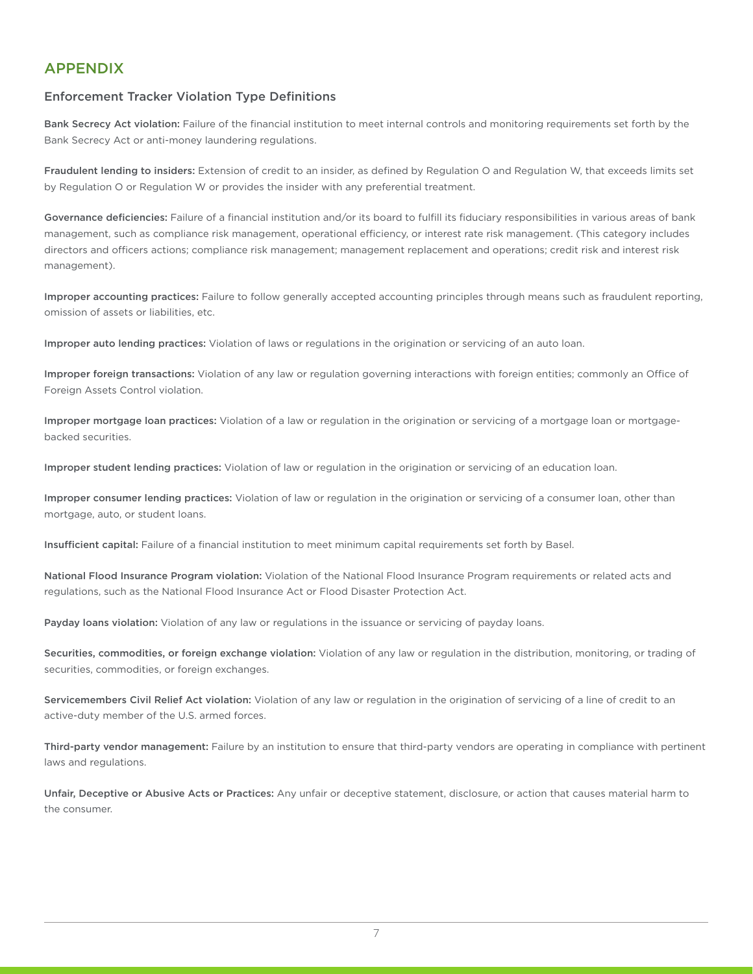#### APPENDIX

#### Enforcement Tracker Violation Type Definitions

Bank Secrecy Act violation: Failure of the financial institution to meet internal controls and monitoring requirements set forth by the Bank Secrecy Act or anti-money laundering regulations.

Fraudulent lending to insiders: Extension of credit to an insider, as defined by Regulation O and Regulation W, that exceeds limits set by Regulation O or Regulation W or provides the insider with any preferential treatment.

Governance deficiencies: Failure of a financial institution and/or its board to fulfill its fiduciary responsibilities in various areas of bank management, such as compliance risk management, operational efficiency, or interest rate risk management. (This category includes directors and officers actions; compliance risk management; management replacement and operations; credit risk and interest risk management).

Improper accounting practices: Failure to follow generally accepted accounting principles through means such as fraudulent reporting, omission of assets or liabilities, etc.

Improper auto lending practices: Violation of laws or regulations in the origination or servicing of an auto loan.

Improper foreign transactions: Violation of any law or regulation governing interactions with foreign entities; commonly an Office of Foreign Assets Control violation.

Improper mortgage loan practices: Violation of a law or regulation in the origination or servicing of a mortgage loan or mortgagebacked securities.

Improper student lending practices: Violation of law or regulation in the origination or servicing of an education loan.

Improper consumer lending practices: Violation of law or regulation in the origination or servicing of a consumer loan, other than mortgage, auto, or student loans.

Insufficient capital: Failure of a financial institution to meet minimum capital requirements set forth by Basel.

National Flood Insurance Program violation: Violation of the National Flood Insurance Program requirements or related acts and regulations, such as the National Flood Insurance Act or Flood Disaster Protection Act.

Payday loans violation: Violation of any law or regulations in the issuance or servicing of payday loans.

Securities, commodities, or foreign exchange violation: Violation of any law or regulation in the distribution, monitoring, or trading of securities, commodities, or foreign exchanges.

Servicemembers Civil Relief Act violation: Violation of any law or regulation in the origination of servicing of a line of credit to an active-duty member of the U.S. armed forces.

Third-party vendor management: Failure by an institution to ensure that third-party vendors are operating in compliance with pertinent laws and regulations.

Unfair, Deceptive or Abusive Acts or Practices: Any unfair or deceptive statement, disclosure, or action that causes material harm to the consumer.